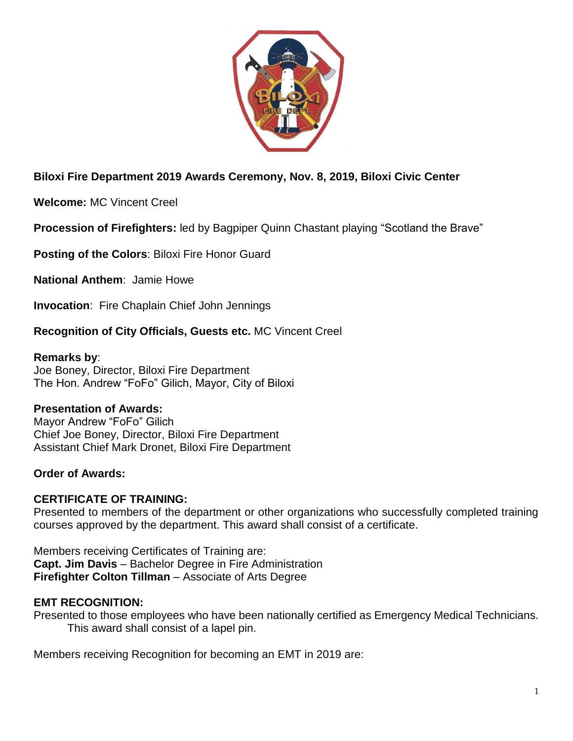

# **Biloxi Fire Department 2019 Awards Ceremony, Nov. 8, 2019, Biloxi Civic Center**

**Welcome:** MC Vincent Creel

**Procession of Firefighters:** led by Bagpiper Quinn Chastant playing "Scotland the Brave"

**Posting of the Colors**: Biloxi Fire Honor Guard

**National Anthem**: Jamie Howe

**Invocation**: Fire Chaplain Chief John Jennings

## **Recognition of City Officials, Guests etc.** MC Vincent Creel

### **Remarks by**:

Joe Boney, Director, Biloxi Fire Department The Hon. Andrew "FoFo" Gilich, Mayor, City of Biloxi

## **Presentation of Awards:**

Mayor Andrew "FoFo" Gilich Chief Joe Boney, Director, Biloxi Fire Department Assistant Chief Mark Dronet, Biloxi Fire Department

## **Order of Awards:**

## **CERTIFICATE OF TRAINING:**

Presented to members of the department or other organizations who successfully completed training courses approved by the department. This award shall consist of a certificate.

Members receiving Certificates of Training are: **Capt. Jim Davis** – Bachelor Degree in Fire Administration **Firefighter Colton Tillman** – Associate of Arts Degree

## **EMT RECOGNITION:**

Presented to those employees who have been nationally certified as Emergency Medical Technicians. This award shall consist of a lapel pin.

Members receiving Recognition for becoming an EMT in 2019 are: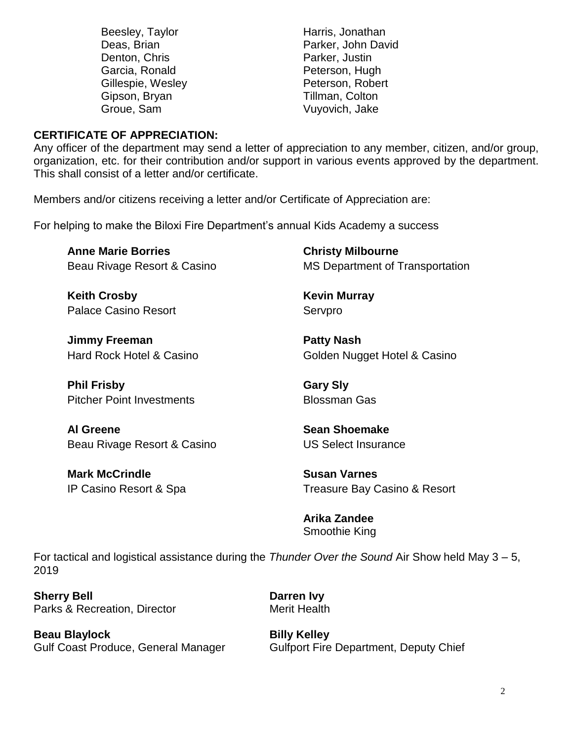| Beesley, Taylor   | Harris, Jonathan   |
|-------------------|--------------------|
| Deas, Brian       | Parker, John David |
| Denton, Chris     | Parker, Justin     |
| Garcia, Ronald    | Peterson, Hugh     |
| Gillespie, Wesley | Peterson, Robert   |
| Gipson, Bryan     | Tillman, Colton    |
| Groue, Sam        | Vuyovich, Jake     |
|                   |                    |

#### **CERTIFICATE OF APPRECIATION:**

Any officer of the department may send a letter of appreciation to any member, citizen, and/or group, organization, etc. for their contribution and/or support in various events approved by the department. This shall consist of a letter and/or certificate.

Members and/or citizens receiving a letter and/or Certificate of Appreciation are:

For helping to make the Biloxi Fire Department's annual Kids Academy a success

**Anne Marie Borries** Beau Rivage Resort & Casino

**Keith Crosby** Palace Casino Resort

**Jimmy Freeman** Hard Rock Hotel & Casino

**Phil Frisby** Pitcher Point Investments

**Al Greene** Beau Rivage Resort & Casino

**Mark McCrindle** IP Casino Resort & Spa **Christy Milbourne** MS Department of Transportation

**Kevin Murray** Servpro

**Patty Nash** Golden Nugget Hotel & Casino

**Gary Sly** Blossman Gas

**Sean Shoemake** US Select Insurance

**Susan Varnes** Treasure Bay Casino & Resort

**Arika Zandee** Smoothie King

For tactical and logistical assistance during the *Thunder Over the Sound* Air Show held May 3 – 5, 2019

**Sherry Bell Darren Ivy** Parks & Recreation, Director **Merit Health** 

**Beau Blaylock Billy Kelley** 

Gulf Coast Produce, General Manager Gulfport Fire Department, Deputy Chief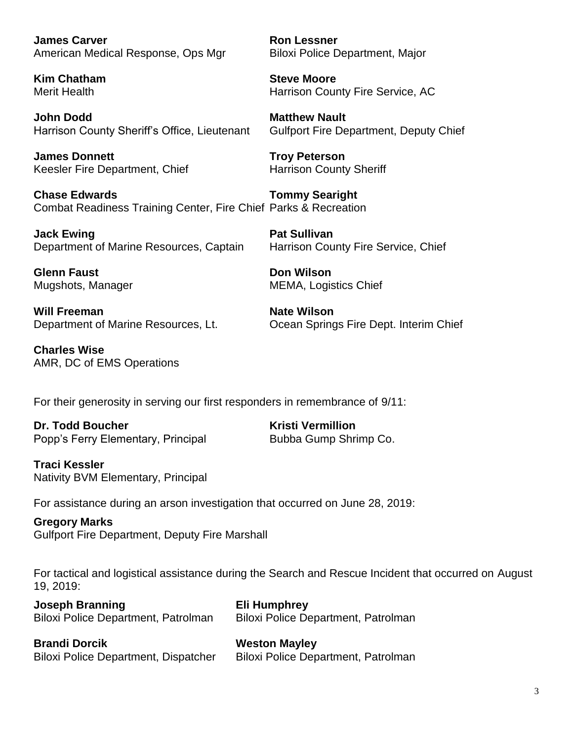**James Carver Ron Lessner** American Medical Response, Ops Mgr Biloxi Police Department, Major

**Kim Chatham Steve Moore**

**John Dodd Matthew Nault** Harrison County Sheriff's Office, Lieutenant Gulfport Fire Department, Deputy Chief

**James Donnett Troy Peterson** Keesler Fire Department, Chief Harrison County Sheriff

**Chase Edwards Tommy Searight** Combat Readiness Training Center, Fire Chief Parks & Recreation

**Jack Ewing Pat Sullivan** Department of Marine Resources, Captain Harrison County Fire Service, Chief

**Glenn Faust Don Wilson** 

**Will Freeman Nate Wilson** 

**Charles Wise** AMR, DC of EMS Operations

Merit Health **Harrison County Fire Service, AC** 

Mugshots, Manager MEMA, Logistics Chief

Department of Marine Resources, Lt. Ocean Springs Fire Dept. Interim Chief

For their generosity in serving our first responders in remembrance of 9/11:

**Dr. Todd Boucher Kristi Vermillion** Popp's Ferry Elementary, Principal Bubba Gump Shrimp Co.

**Traci Kessler** Nativity BVM Elementary, Principal

For assistance during an arson investigation that occurred on June 28, 2019:

**Gregory Marks** Gulfport Fire Department, Deputy Fire Marshall

For tactical and logistical assistance during the Search and Rescue Incident that occurred on August 19, 2019:

**Joseph Branning Eli Humphrey** Biloxi Police Department, Patrolman Biloxi Police Department, Patrolman

**Brandi Dorcik Weston Mayley** Biloxi Police Department, Dispatcher Biloxi Police Department, Patrolman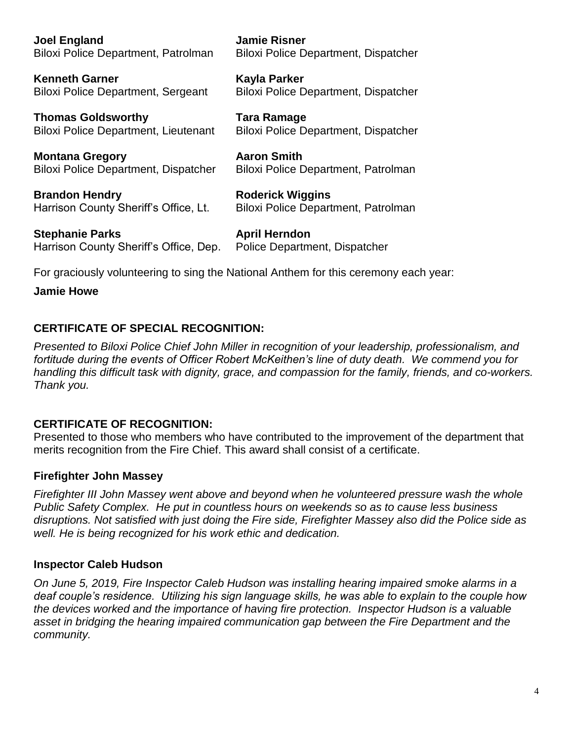**Joel England Jamie Risner**

Biloxi Police Department, Patrolman Biloxi Police Department, Dispatcher

**Kenneth Garner Kayla Parker** Biloxi Police Department, Sergeant Biloxi Police Department, Dispatcher

**Thomas Goldsworthy Tara Ramage** Biloxi Police Department, Lieutenant Biloxi Police Department, Dispatcher

**Montana Gregory Aaron Smith** Biloxi Police Department, Dispatcher Biloxi Police Department, Patrolman

**Brandon Hendry <b>Roderick Wiggins** Harrison County Sheriff's Office, Lt. Biloxi Police Department, Patrolman

**Stephanie Parks April Herndon** Harrison County Sheriff's Office, Dep. Police Department, Dispatcher

For graciously volunteering to sing the National Anthem for this ceremony each year:

**Jamie Howe**

## **CERTIFICATE OF SPECIAL RECOGNITION:**

*Presented to Biloxi Police Chief John Miller in recognition of your leadership, professionalism, and fortitude during the events of Officer Robert McKeithen's line of duty death. We commend you for handling this difficult task with dignity, grace, and compassion for the family, friends, and co-workers. Thank you.*

## **CERTIFICATE OF RECOGNITION:**

Presented to those who members who have contributed to the improvement of the department that merits recognition from the Fire Chief. This award shall consist of a certificate.

## **Firefighter John Massey**

*Firefighter III John Massey went above and beyond when he volunteered pressure wash the whole Public Safety Complex. He put in countless hours on weekends so as to cause less business disruptions. Not satisfied with just doing the Fire side, Firefighter Massey also did the Police side as well. He is being recognized for his work ethic and dedication.*

#### **Inspector Caleb Hudson**

*On June 5, 2019, Fire Inspector Caleb Hudson was installing hearing impaired smoke alarms in a deaf couple's residence. Utilizing his sign language skills, he was able to explain to the couple how the devices worked and the importance of having fire protection. Inspector Hudson is a valuable asset in bridging the hearing impaired communication gap between the Fire Department and the community.*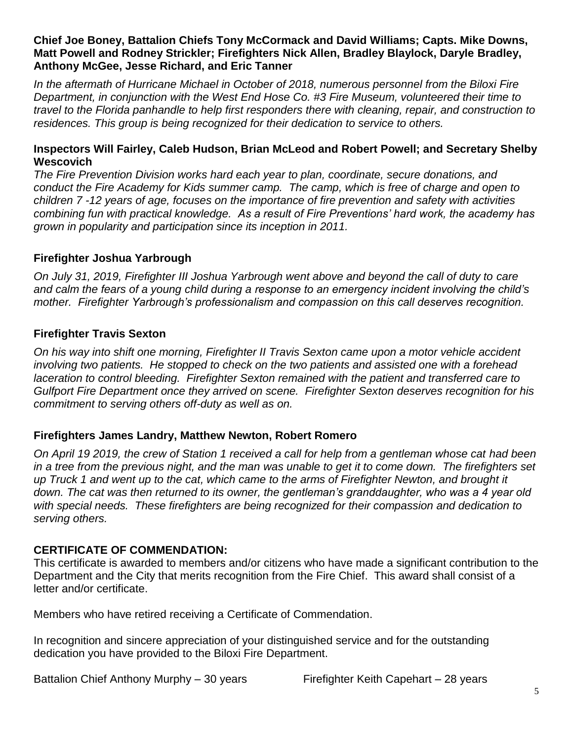### **Chief Joe Boney, Battalion Chiefs Tony McCormack and David Williams; Capts. Mike Downs, Matt Powell and Rodney Strickler; Firefighters Nick Allen, Bradley Blaylock, Daryle Bradley, Anthony McGee, Jesse Richard, and Eric Tanner**

*In the aftermath of Hurricane Michael in October of 2018, numerous personnel from the Biloxi Fire Department, in conjunction with the West End Hose Co. #3 Fire Museum, volunteered their time to travel to the Florida panhandle to help first responders there with cleaning, repair, and construction to residences. This group is being recognized for their dedication to service to others.*

#### **Inspectors Will Fairley, Caleb Hudson, Brian McLeod and Robert Powell; and Secretary Shelby Wescovich**

*The Fire Prevention Division works hard each year to plan, coordinate, secure donations, and conduct the Fire Academy for Kids summer camp. The camp, which is free of charge and open to children 7 -12 years of age, focuses on the importance of fire prevention and safety with activities combining fun with practical knowledge. As a result of Fire Preventions' hard work, the academy has grown in popularity and participation since its inception in 2011.*

### **Firefighter Joshua Yarbrough**

*On July 31, 2019, Firefighter III Joshua Yarbrough went above and beyond the call of duty to care and calm the fears of a young child during a response to an emergency incident involving the child's mother. Firefighter Yarbrough's professionalism and compassion on this call deserves recognition.*

### **Firefighter Travis Sexton**

*On his way into shift one morning, Firefighter II Travis Sexton came upon a motor vehicle accident involving two patients. He stopped to check on the two patients and assisted one with a forehead laceration to control bleeding. Firefighter Sexton remained with the patient and transferred care to Gulfport Fire Department once they arrived on scene. Firefighter Sexton deserves recognition for his commitment to serving others off-duty as well as on.*

## **Firefighters James Landry, Matthew Newton, Robert Romero**

*On April 19 2019, the crew of Station 1 received a call for help from a gentleman whose cat had been in a tree from the previous night, and the man was unable to get it to come down. The firefighters set up Truck 1 and went up to the cat, which came to the arms of Firefighter Newton, and brought it down. The cat was then returned to its owner, the gentleman's granddaughter, who was a 4 year old with special needs. These firefighters are being recognized for their compassion and dedication to serving others.*

#### **CERTIFICATE OF COMMENDATION:**

This certificate is awarded to members and/or citizens who have made a significant contribution to the Department and the City that merits recognition from the Fire Chief. This award shall consist of a letter and/or certificate.

Members who have retired receiving a Certificate of Commendation.

In recognition and sincere appreciation of your distinguished service and for the outstanding dedication you have provided to the Biloxi Fire Department.

Battalion Chief Anthony Murphy – 30 years Firefighter Keith Capehart – 28 years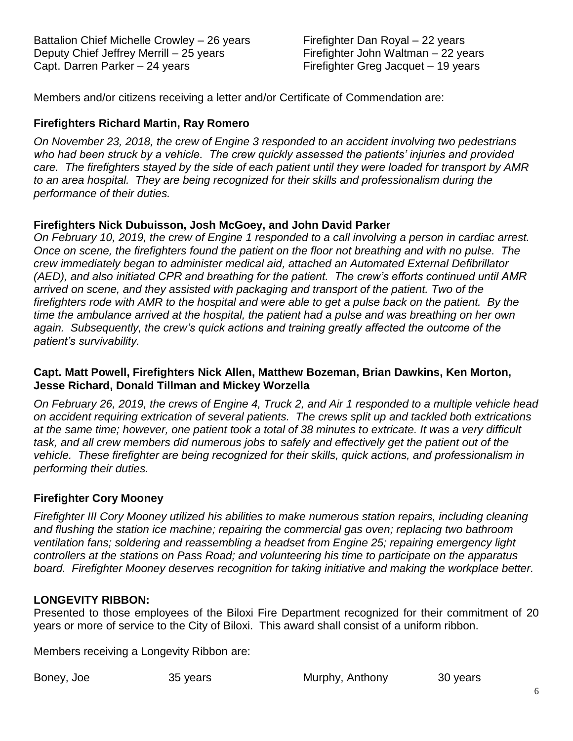Battalion Chief Michelle Crowley – 26 years Deputy Chief Jeffrey Merrill – 25 years Capt. Darren Parker – 24 years

Firefighter Dan Royal – 22 years Firefighter John Waltman – 22 years Firefighter Greg Jacquet – 19 years

Members and/or citizens receiving a letter and/or Certificate of Commendation are:

### **Firefighters Richard Martin, Ray Romero**

*On November 23, 2018, the crew of Engine 3 responded to an accident involving two pedestrians who had been struck by a vehicle. The crew quickly assessed the patients' injuries and provided care. The firefighters stayed by the side of each patient until they were loaded for transport by AMR to an area hospital. They are being recognized for their skills and professionalism during the performance of their duties.*

#### **Firefighters Nick Dubuisson, Josh McGoey, and John David Parker**

*On February 10, 2019, the crew of Engine 1 responded to a call involving a person in cardiac arrest. Once on scene, the firefighters found the patient on the floor not breathing and with no pulse. The crew immediately began to administer medical aid, attached an Automated External Defibrillator (AED), and also initiated CPR and breathing for the patient. The crew's efforts continued until AMR arrived on scene, and they assisted with packaging and transport of the patient. Two of the firefighters rode with AMR to the hospital and were able to get a pulse back on the patient. By the time the ambulance arrived at the hospital, the patient had a pulse and was breathing on her own again. Subsequently, the crew's quick actions and training greatly affected the outcome of the patient's survivability.* 

#### **Capt. Matt Powell, Firefighters Nick Allen, Matthew Bozeman, Brian Dawkins, Ken Morton, Jesse Richard, Donald Tillman and Mickey Worzella**

*On February 26, 2019, the crews of Engine 4, Truck 2, and Air 1 responded to a multiple vehicle head on accident requiring extrication of several patients. The crews split up and tackled both extrications at the same time; however, one patient took a total of 38 minutes to extricate. It was a very difficult*  task, and all crew members did numerous jobs to safely and effectively get the patient out of the *vehicle. These firefighter are being recognized for their skills, quick actions, and professionalism in performing their duties.*

#### **Firefighter Cory Mooney**

*Firefighter III Cory Mooney utilized his abilities to make numerous station repairs, including cleaning and flushing the station ice machine; repairing the commercial gas oven; replacing two bathroom ventilation fans; soldering and reassembling a headset from Engine 25; repairing emergency light controllers at the stations on Pass Road; and volunteering his time to participate on the apparatus board. Firefighter Mooney deserves recognition for taking initiative and making the workplace better.* 

#### **LONGEVITY RIBBON:**

Presented to those employees of the Biloxi Fire Department recognized for their commitment of 20 years or more of service to the City of Biloxi. This award shall consist of a uniform ribbon.

Members receiving a Longevity Ribbon are:

Boney, Joe 35 years Murphy, Anthony 30 years Murphy, Anthony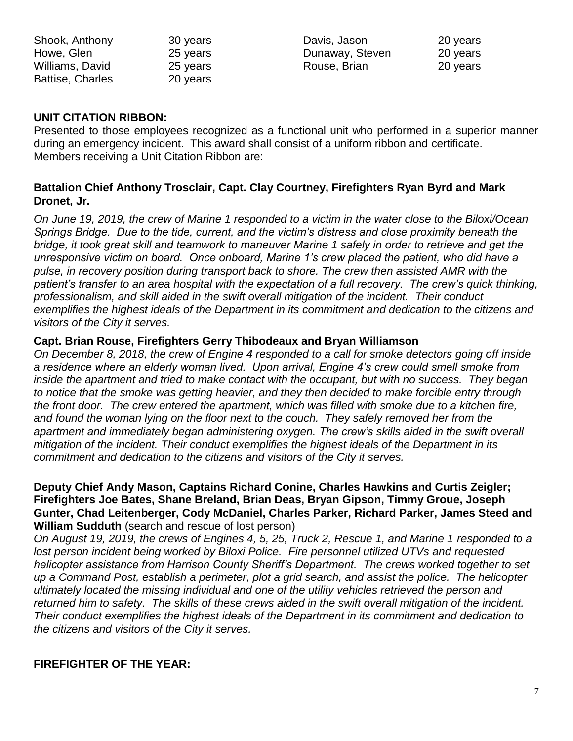| 30 years |
|----------|
| 25 years |
| 25 years |
| 20 years |
|          |

Davis, Jason 20 years Dunaway, Steven 20 years Rouse, Brian 20 years

### **UNIT CITATION RIBBON:**

Presented to those employees recognized as a functional unit who performed in a superior manner during an emergency incident. This award shall consist of a uniform ribbon and certificate. Members receiving a Unit Citation Ribbon are:

## **Battalion Chief Anthony Trosclair, Capt. Clay Courtney, Firefighters Ryan Byrd and Mark Dronet, Jr.**

*On June 19, 2019, the crew of Marine 1 responded to a victim in the water close to the Biloxi/Ocean Springs Bridge. Due to the tide, current, and the victim's distress and close proximity beneath the bridge, it took great skill and teamwork to maneuver Marine 1 safely in order to retrieve and get the unresponsive victim on board. Once onboard, Marine 1's crew placed the patient, who did have a pulse, in recovery position during transport back to shore. The crew then assisted AMR with the patient's transfer to an area hospital with the expectation of a full recovery. The crew's quick thinking, professionalism, and skill aided in the swift overall mitigation of the incident. Their conduct exemplifies the highest ideals of the Department in its commitment and dedication to the citizens and visitors of the City it serves.*

#### **Capt. Brian Rouse, Firefighters Gerry Thibodeaux and Bryan Williamson**

*On December 8, 2018, the crew of Engine 4 responded to a call for smoke detectors going off inside a residence where an elderly woman lived. Upon arrival, Engine 4's crew could smell smoke from inside the apartment and tried to make contact with the occupant, but with no success. They began to notice that the smoke was getting heavier, and they then decided to make forcible entry through the front door. The crew entered the apartment, which was filled with smoke due to a kitchen fire, and found the woman lying on the floor next to the couch. They safely removed her from the apartment and immediately began administering oxygen. The crew's skills aided in the swift overall mitigation of the incident. Their conduct exemplifies the highest ideals of the Department in its commitment and dedication to the citizens and visitors of the City it serves.*

#### **Deputy Chief Andy Mason, Captains Richard Conine, Charles Hawkins and Curtis Zeigler; Firefighters Joe Bates, Shane Breland, Brian Deas, Bryan Gipson, Timmy Groue, Joseph Gunter, Chad Leitenberger, Cody McDaniel, Charles Parker, Richard Parker, James Steed and William Sudduth** (search and rescue of lost person)

*On August 19, 2019, the crews of Engines 4, 5, 25, Truck 2, Rescue 1, and Marine 1 responded to a lost person incident being worked by Biloxi Police. Fire personnel utilized UTVs and requested helicopter assistance from Harrison County Sheriff's Department. The crews worked together to set up a Command Post, establish a perimeter, plot a grid search, and assist the police. The helicopter ultimately located the missing individual and one of the utility vehicles retrieved the person and returned him to safety. The skills of these crews aided in the swift overall mitigation of the incident. Their conduct exemplifies the highest ideals of the Department in its commitment and dedication to the citizens and visitors of the City it serves.*

## **FIREFIGHTER OF THE YEAR:**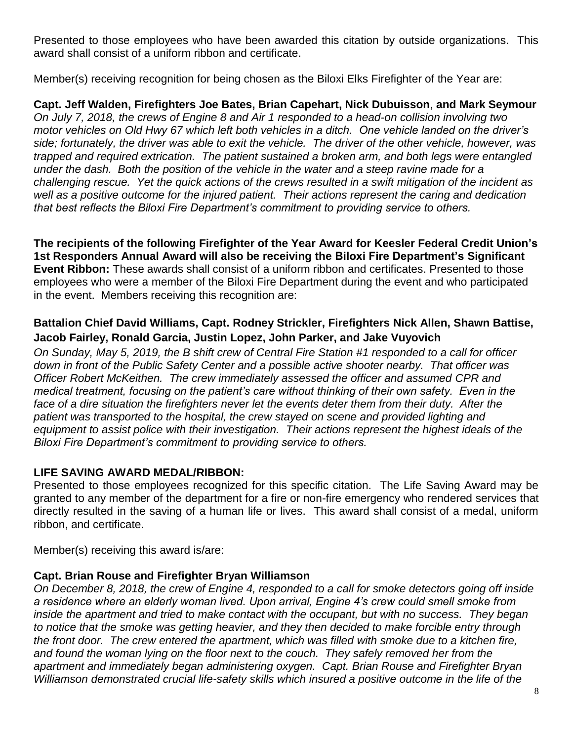Presented to those employees who have been awarded this citation by outside organizations. This award shall consist of a uniform ribbon and certificate.

Member(s) receiving recognition for being chosen as the Biloxi Elks Firefighter of the Year are:

**Capt. Jeff Walden, Firefighters Joe Bates, Brian Capehart, Nick Dubuisson**, **and Mark Seymour** *On July 7, 2018, the crews of Engine 8 and Air 1 responded to a head-on collision involving two motor vehicles on Old Hwy 67 which left both vehicles in a ditch. One vehicle landed on the driver's side; fortunately, the driver was able to exit the vehicle. The driver of the other vehicle, however, was trapped and required extrication. The patient sustained a broken arm, and both legs were entangled under the dash. Both the position of the vehicle in the water and a steep ravine made for a challenging rescue. Yet the quick actions of the crews resulted in a swift mitigation of the incident as well as a positive outcome for the injured patient. Their actions represent the caring and dedication that best reflects the Biloxi Fire Department's commitment to providing service to others.* 

**The recipients of the following Firefighter of the Year Award for Keesler Federal Credit Union's 1st Responders Annual Award will also be receiving the Biloxi Fire Department's Significant Event Ribbon:** These awards shall consist of a uniform ribbon and certificates. Presented to those employees who were a member of the Biloxi Fire Department during the event and who participated in the event. Members receiving this recognition are:

## **Battalion Chief David Williams, Capt. Rodney Strickler, Firefighters Nick Allen, Shawn Battise, Jacob Fairley, Ronald Garcia, Justin Lopez, John Parker, and Jake Vuyovich**

*On Sunday, May 5, 2019, the B shift crew of Central Fire Station #1 responded to a call for officer down in front of the Public Safety Center and a possible active shooter nearby. That officer was Officer Robert McKeithen. The crew immediately assessed the officer and assumed CPR and medical treatment, focusing on the patient's care without thinking of their own safety. Even in the face of a dire situation the firefighters never let the events deter them from their duty. After the patient was transported to the hospital, the crew stayed on scene and provided lighting and equipment to assist police with their investigation. Their actions represent the highest ideals of the Biloxi Fire Department's commitment to providing service to others.* 

## **LIFE SAVING AWARD MEDAL/RIBBON:**

Presented to those employees recognized for this specific citation. The Life Saving Award may be granted to any member of the department for a fire or non-fire emergency who rendered services that directly resulted in the saving of a human life or lives. This award shall consist of a medal, uniform ribbon, and certificate.

Member(s) receiving this award is/are:

## **Capt. Brian Rouse and Firefighter Bryan Williamson**

*On December 8, 2018, the crew of Engine 4, responded to a call for smoke detectors going off inside a residence where an elderly woman lived. Upon arrival, Engine 4's crew could smell smoke from inside the apartment and tried to make contact with the occupant, but with no success. They began to notice that the smoke was getting heavier, and they then decided to make forcible entry through the front door. The crew entered the apartment, which was filled with smoke due to a kitchen fire, and found the woman lying on the floor next to the couch. They safely removed her from the apartment and immediately began administering oxygen. Capt. Brian Rouse and Firefighter Bryan Williamson demonstrated crucial life-safety skills which insured a positive outcome in the life of the*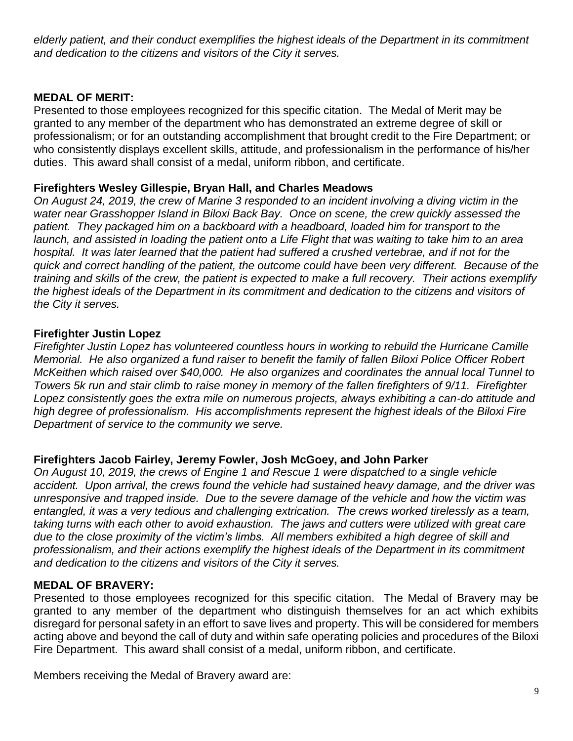elderly patient, and their conduct exemplifies the highest ideals of the Department in its commitment *and dedication to the citizens and visitors of the City it serves.*

## **MEDAL OF MERIT:**

Presented to those employees recognized for this specific citation. The Medal of Merit may be granted to any member of the department who has demonstrated an extreme degree of skill or professionalism; or for an outstanding accomplishment that brought credit to the Fire Department; or who consistently displays excellent skills, attitude, and professionalism in the performance of his/her duties. This award shall consist of a medal, uniform ribbon, and certificate.

## **Firefighters Wesley Gillespie, Bryan Hall, and Charles Meadows**

*On August 24, 2019, the crew of Marine 3 responded to an incident involving a diving victim in the water near Grasshopper Island in Biloxi Back Bay. Once on scene, the crew quickly assessed the patient. They packaged him on a backboard with a headboard, loaded him for transport to the launch, and assisted in loading the patient onto a Life Flight that was waiting to take him to an area hospital. It was later learned that the patient had suffered a crushed vertebrae, and if not for the quick and correct handling of the patient, the outcome could have been very different. Because of the training and skills of the crew, the patient is expected to make a full recovery. Their actions exemplify the highest ideals of the Department in its commitment and dedication to the citizens and visitors of the City it serves.*

### **Firefighter Justin Lopez**

*Firefighter Justin Lopez has volunteered countless hours in working to rebuild the Hurricane Camille Memorial. He also organized a fund raiser to benefit the family of fallen Biloxi Police Officer Robert McKeithen which raised over \$40,000. He also organizes and coordinates the annual local Tunnel to Towers 5k run and stair climb to raise money in memory of the fallen firefighters of 9/11. Firefighter Lopez consistently goes the extra mile on numerous projects, always exhibiting a can-do attitude and high degree of professionalism. His accomplishments represent the highest ideals of the Biloxi Fire Department of service to the community we serve.*

#### **Firefighters Jacob Fairley, Jeremy Fowler, Josh McGoey, and John Parker**

*On August 10, 2019, the crews of Engine 1 and Rescue 1 were dispatched to a single vehicle accident. Upon arrival, the crews found the vehicle had sustained heavy damage, and the driver was unresponsive and trapped inside. Due to the severe damage of the vehicle and how the victim was entangled, it was a very tedious and challenging extrication. The crews worked tirelessly as a team, taking turns with each other to avoid exhaustion. The jaws and cutters were utilized with great care due to the close proximity of the victim's limbs. All members exhibited a high degree of skill and professionalism, and their actions exemplify the highest ideals of the Department in its commitment and dedication to the citizens and visitors of the City it serves.*

#### **MEDAL OF BRAVERY:**

Presented to those employees recognized for this specific citation. The Medal of Bravery may be granted to any member of the department who distinguish themselves for an act which exhibits disregard for personal safety in an effort to save lives and property. This will be considered for members acting above and beyond the call of duty and within safe operating policies and procedures of the Biloxi Fire Department. This award shall consist of a medal, uniform ribbon, and certificate.

Members receiving the Medal of Bravery award are: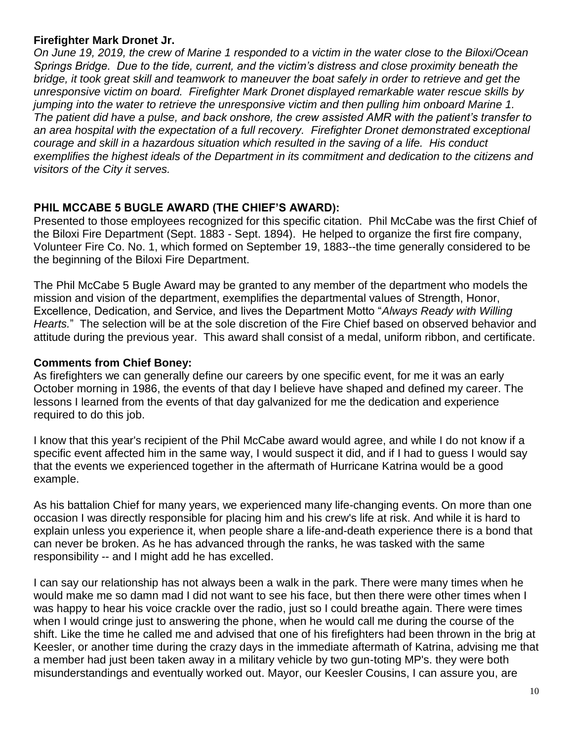#### **Firefighter Mark Dronet Jr.**

*On June 19, 2019, the crew of Marine 1 responded to a victim in the water close to the Biloxi/Ocean Springs Bridge. Due to the tide, current, and the victim's distress and close proximity beneath the bridge, it took great skill and teamwork to maneuver the boat safely in order to retrieve and get the unresponsive victim on board. Firefighter Mark Dronet displayed remarkable water rescue skills by jumping into the water to retrieve the unresponsive victim and then pulling him onboard Marine 1. The patient did have a pulse, and back onshore, the crew assisted AMR with the patient's transfer to an area hospital with the expectation of a full recovery. Firefighter Dronet demonstrated exceptional courage and skill in a hazardous situation which resulted in the saving of a life. His conduct exemplifies the highest ideals of the Department in its commitment and dedication to the citizens and visitors of the City it serves.*

### **PHIL MCCABE 5 BUGLE AWARD (THE CHIEF'S AWARD):**

Presented to those employees recognized for this specific citation. Phil McCabe was the first Chief of the Biloxi Fire Department (Sept. 1883 - Sept. 1894). He helped to organize the first fire company, Volunteer Fire Co. No. 1, which formed on September 19, 1883--the time generally considered to be the beginning of the Biloxi Fire Department.

The Phil McCabe 5 Bugle Award may be granted to any member of the department who models the mission and vision of the department, exemplifies the departmental values of Strength, Honor, Excellence, Dedication, and Service, and lives the Department Motto "*Always Ready with Willing Hearts.*" The selection will be at the sole discretion of the Fire Chief based on observed behavior and attitude during the previous year. This award shall consist of a medal, uniform ribbon, and certificate.

#### **Comments from Chief Boney:**

As firefighters we can generally define our careers by one specific event, for me it was an early October morning in 1986, the events of that day I believe have shaped and defined my career. The lessons I learned from the events of that day galvanized for me the dedication and experience required to do this job.

I know that this year's recipient of the Phil McCabe award would agree, and while I do not know if a specific event affected him in the same way, I would suspect it did, and if I had to guess I would say that the events we experienced together in the aftermath of Hurricane Katrina would be a good example.

As his battalion Chief for many years, we experienced many life-changing events. On more than one occasion I was directly responsible for placing him and his crew's life at risk. And while it is hard to explain unless you experience it, when people share a life-and-death experience there is a bond that can never be broken. As he has advanced through the ranks, he was tasked with the same responsibility -- and I might add he has excelled.

I can say our relationship has not always been a walk in the park. There were many times when he would make me so damn mad I did not want to see his face, but then there were other times when I was happy to hear his voice crackle over the radio, just so I could breathe again. There were times when I would cringe just to answering the phone, when he would call me during the course of the shift. Like the time he called me and advised that one of his firefighters had been thrown in the brig at Keesler, or another time during the crazy days in the immediate aftermath of Katrina, advising me that a member had just been taken away in a military vehicle by two gun-toting MP's. they were both misunderstandings and eventually worked out. Mayor, our Keesler Cousins, I can assure you, are